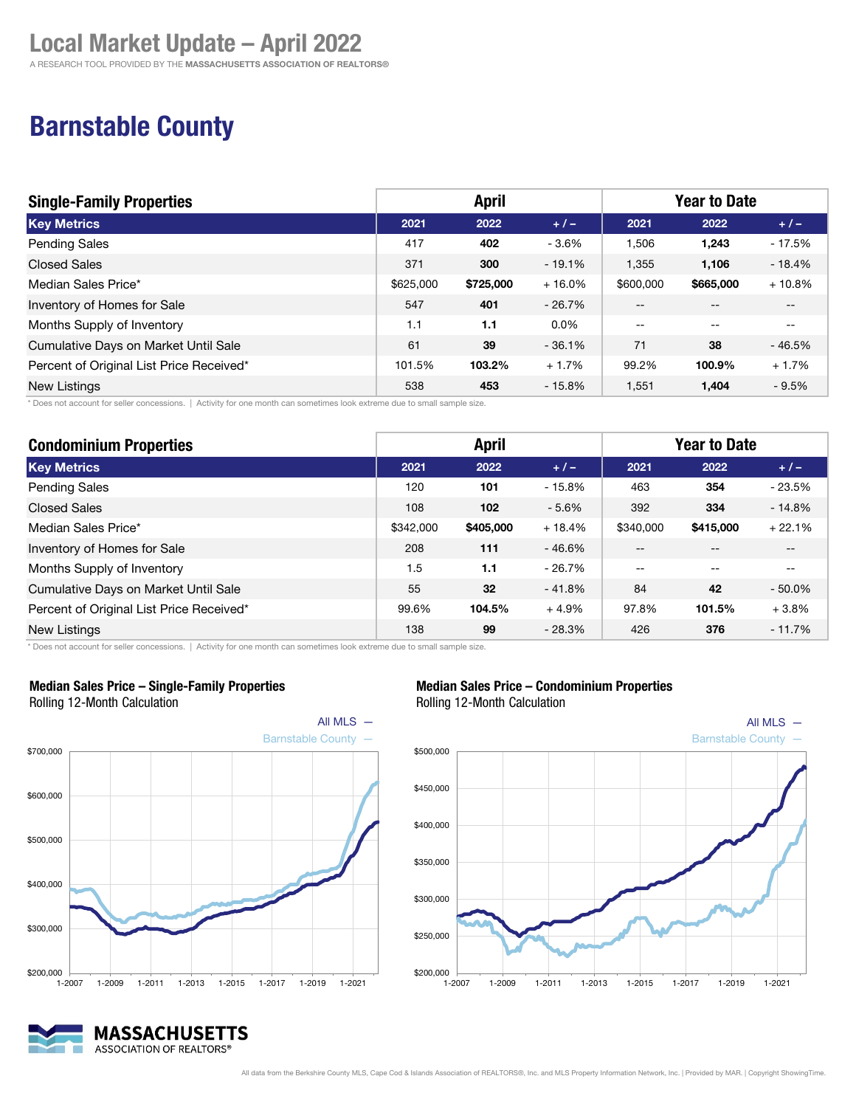A RESEARCH TOOL PROVIDED BY THE MASSACHUSETTS ASSOCIATION OF REALTORS®

### Barnstable County

| <b>Single-Family Properties</b>          | <b>April</b> |           |           | <b>Year to Date</b> |               |                          |
|------------------------------------------|--------------|-----------|-----------|---------------------|---------------|--------------------------|
| <b>Key Metrics</b>                       | 2021         | 2022      | $+/-$     | 2021                | 2022          | $+/-$                    |
| <b>Pending Sales</b>                     | 417          | 402       | $-3.6%$   | 1,506               | 1,243         | $-17.5%$                 |
| <b>Closed Sales</b>                      | 371          | 300       | $-19.1\%$ | 1,355               | 1,106         | - 18.4%                  |
| Median Sales Price*                      | \$625,000    | \$725,000 | $+16.0%$  | \$600,000           | \$665,000     | $+10.8%$                 |
| Inventory of Homes for Sale              | 547          | 401       | $-26.7%$  | $- -$               | $- -$         | $- -$                    |
| Months Supply of Inventory               | 1.1          | 1.1       | $0.0\%$   | $\qquad \qquad -$   | $\sim$ $\sim$ | $\overline{\phantom{m}}$ |
| Cumulative Days on Market Until Sale     | 61           | 39        | $-36.1%$  | 71                  | 38            | $-46.5%$                 |
| Percent of Original List Price Received* | 101.5%       | 103.2%    | $+1.7%$   | 99.2%               | 100.9%        | $+1.7%$                  |
| <b>New Listings</b>                      | 538          | 453       | $-15.8%$  | 1,551               | 1,404         | $-9.5%$                  |

\* Does not account for seller concessions. | Activity for one month can sometimes look extreme due to small sample size.

| <b>Condominium Properties</b>            | <b>April</b> |           |          | <b>Year to Date</b> |           |           |
|------------------------------------------|--------------|-----------|----------|---------------------|-----------|-----------|
| <b>Key Metrics</b>                       | 2021         | 2022      | $+1-$    | 2021                | 2022      | $+/-$     |
| <b>Pending Sales</b>                     | 120          | 101       | $-15.8%$ | 463                 | 354       | $-23.5%$  |
| <b>Closed Sales</b>                      | 108          | 102       | $-5.6%$  | 392                 | 334       | $-14.8%$  |
| Median Sales Price*                      | \$342,000    | \$405,000 | $+18.4%$ | \$340,000           | \$415,000 | $+22.1%$  |
| Inventory of Homes for Sale              | 208          | 111       | $-46.6%$ | --                  |           | --        |
| Months Supply of Inventory               | 1.5          | 1.1       | $-26.7%$ | $- -$               |           | $-$       |
| Cumulative Days on Market Until Sale     | 55           | 32        | $-41.8%$ | 84                  | 42        | $-50.0\%$ |
| Percent of Original List Price Received* | 99.6%        | 104.5%    | $+4.9%$  | 97.8%               | 101.5%    | $+3.8%$   |
| New Listings                             | 138          | 99        | $-28.3%$ | 426                 | 376       | $-11.7%$  |

\* Does not account for seller concessions. | Activity for one month can sometimes look extreme due to small sample size.



### Median Sales Price – Single-Family Properties

Rolling 12-Month Calculation



### Median Sales Price – Condominium Properties

Rolling 12-Month Calculation

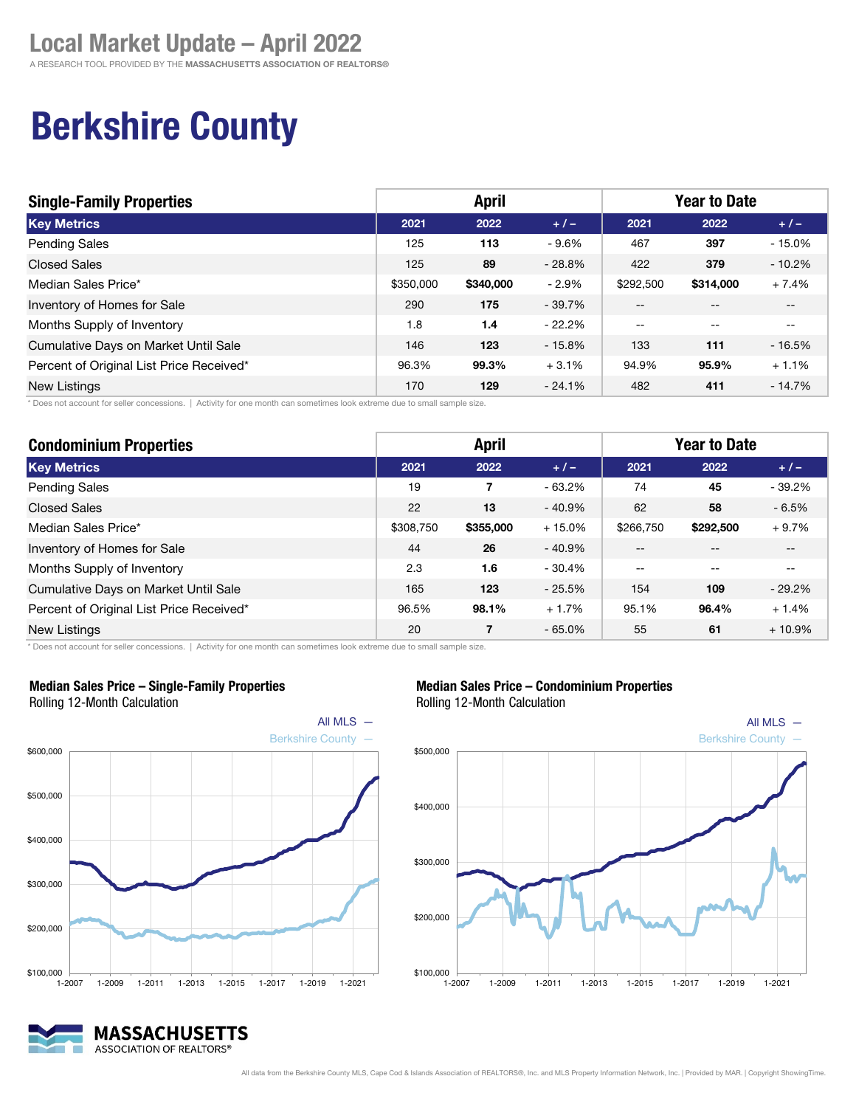# Berkshire County

| <b>Single-Family Properties</b>          | <b>April</b> |           |          | <b>Year to Date</b>      |               |          |
|------------------------------------------|--------------|-----------|----------|--------------------------|---------------|----------|
| <b>Key Metrics</b>                       | 2021         | 2022      | $+/-$    | 2021                     | 2022          | $+/-$    |
| <b>Pending Sales</b>                     | 125          | 113       | $-9.6%$  | 467                      | 397           | $-15.0%$ |
| <b>Closed Sales</b>                      | 125          | 89        | $-28.8%$ | 422                      | 379           | $-10.2%$ |
| Median Sales Price*                      | \$350,000    | \$340,000 | $-2.9%$  | \$292,500                | \$314,000     | $+7.4%$  |
| Inventory of Homes for Sale              | 290          | 175       | $-39.7%$ | $\overline{\phantom{a}}$ | $- -$         | $- -$    |
| Months Supply of Inventory               | 1.8          | 1.4       | $-22.2%$ | $\sim$ $\sim$            | $\sim$ $\sim$ | --       |
| Cumulative Days on Market Until Sale     | 146          | 123       | $-15.8%$ | 133                      | 111           | $-16.5%$ |
| Percent of Original List Price Received* | 96.3%        | 99.3%     | $+3.1%$  | 94.9%                    | 95.9%         | $+1.1%$  |
| New Listings                             | 170          | 129       | $-24.1%$ | 482                      | 411           | $-14.7%$ |

\* Does not account for seller concessions. | Activity for one month can sometimes look extreme due to small sample size.

| <b>Condominium Properties</b>            | <b>April</b> |           |          | <b>Year to Date</b> |           |          |
|------------------------------------------|--------------|-----------|----------|---------------------|-----------|----------|
| <b>Key Metrics</b>                       | 2021         | 2022      | $+1-$    | 2021                | 2022      | $+/-$    |
| Pending Sales                            | 19           | 7         | $-63.2%$ | 74                  | 45        | $-39.2%$ |
| <b>Closed Sales</b>                      | 22           | 13        | $-40.9%$ | 62                  | 58        | $-6.5%$  |
| Median Sales Price*                      | \$308.750    | \$355,000 | $+15.0%$ | \$266.750           | \$292,500 | $+9.7%$  |
| Inventory of Homes for Sale              | 44           | 26        | $-40.9%$ |                     |           |          |
| Months Supply of Inventory               | 2.3          | 1.6       | $-30.4%$ | --                  |           | --       |
| Cumulative Days on Market Until Sale     | 165          | 123       | $-25.5%$ | 154                 | 109       | $-29.2%$ |
| Percent of Original List Price Received* | 96.5%        | 98.1%     | $+1.7%$  | 95.1%               | 96.4%     | $+1.4%$  |
| New Listings                             | 20           |           | $-65.0%$ | 55                  | 61        | $+10.9%$ |

\* Does not account for seller concessions. | Activity for one month can sometimes look extreme due to small sample size.



#### Median Sales Price – Single-Family Properties

Rolling 12-Month Calculation



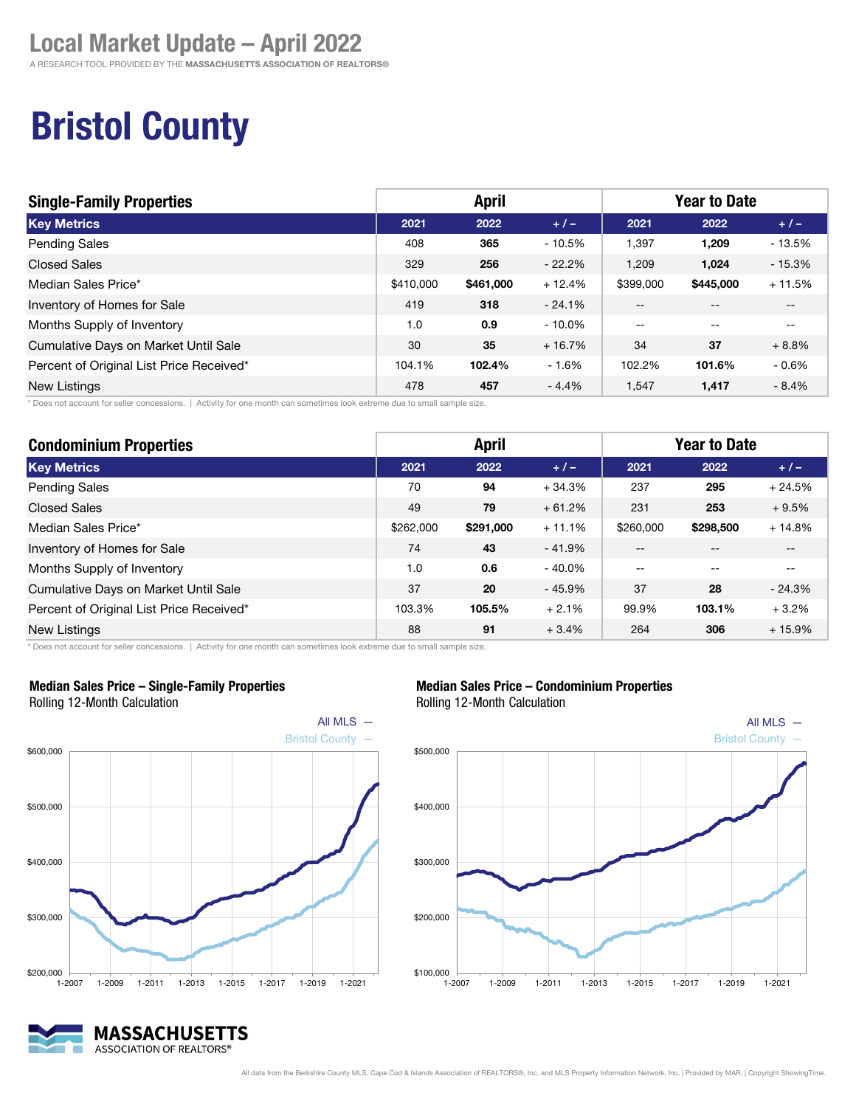A RESEARCH TOOL PROVIDED BY THE MASSACHUSETTS ASSOCIATION OF REALTORS®

# Bristol County

| <b>Single-Family Properties</b>          | <b>April</b> |           |           | <b>Year to Date</b>      |                          |          |
|------------------------------------------|--------------|-----------|-----------|--------------------------|--------------------------|----------|
| <b>Key Metrics</b>                       | 2021         | 2022      | $+ 1 -$   | 2021                     | 2022                     | $+/-$    |
| <b>Pending Sales</b>                     | 408          | 365       | $-10.5%$  | 1,397                    | 1,209                    | $-13.5%$ |
| <b>Closed Sales</b>                      | 329          | 256       | $-22.2%$  | 1,209                    | 1,024                    | $-15.3%$ |
| Median Sales Price*                      | \$410,000    | \$461,000 | $+12.4%$  | \$399,000                | \$445,000                | $+11.5%$ |
| Inventory of Homes for Sale              | 419          | 318       | $-24.1%$  | $- -$                    | $- -$                    | --       |
| Months Supply of Inventory               | 1.0          | 0.9       | $-10.0\%$ | $\overline{\phantom{m}}$ | $\overline{\phantom{m}}$ | $- -$    |
| Cumulative Days on Market Until Sale     | 30           | 35        | $+16.7%$  | 34                       | 37                       | $+8.8%$  |
| Percent of Original List Price Received* | 104.1%       | 102.4%    | $-1.6\%$  | 102.2%                   | 101.6%                   | $-0.6%$  |
| <b>New Listings</b>                      | 478          | 457       | $-4.4%$   | 1,547                    | 1,417                    | $-8.4%$  |

\* Does not account for seller concessions. | Activity for one month can sometimes look extreme due to small sample size.

| <b>Condominium Properties</b>            | <b>April</b> |           |           | <b>Year to Date</b> |           |          |
|------------------------------------------|--------------|-----------|-----------|---------------------|-----------|----------|
| <b>Key Metrics</b>                       | 2021         | 2022      | $+/-$     | 2021                | 2022      | $+/-$    |
| Pending Sales                            | 70           | 94        | $+34.3%$  | 237                 | 295       | $+24.5%$ |
| <b>Closed Sales</b>                      | 49           | 79        | $+61.2%$  | 231                 | 253       | $+9.5%$  |
| Median Sales Price*                      | \$262,000    | \$291,000 | $+11.1%$  | \$260,000           | \$298,500 | $+14.8%$ |
| Inventory of Homes for Sale              | 74           | 43        | $-41.9%$  | --                  |           |          |
| Months Supply of Inventory               | 1.0          | 0.6       | $-40.0\%$ | $- -$               | --        | $-$      |
| Cumulative Days on Market Until Sale     | 37           | 20        | $-45.9%$  | 37                  | 28        | $-24.3%$ |
| Percent of Original List Price Received* | 103.3%       | 105.5%    | $+2.1%$   | 99.9%               | 103.1%    | $+3.2%$  |
| <b>New Listings</b>                      | 88           | 91        | $+3.4%$   | 264                 | 306       | $+15.9%$ |

\* Does not account for seller concessions. | Activity for one month can sometimes look extreme due to small sample size.



Median Sales Price – Single-Family Properties Rolling 12-Month Calculation



Median Sales Price – Condominium Properties

Rolling 12-Month Calculation



All MLS  $-$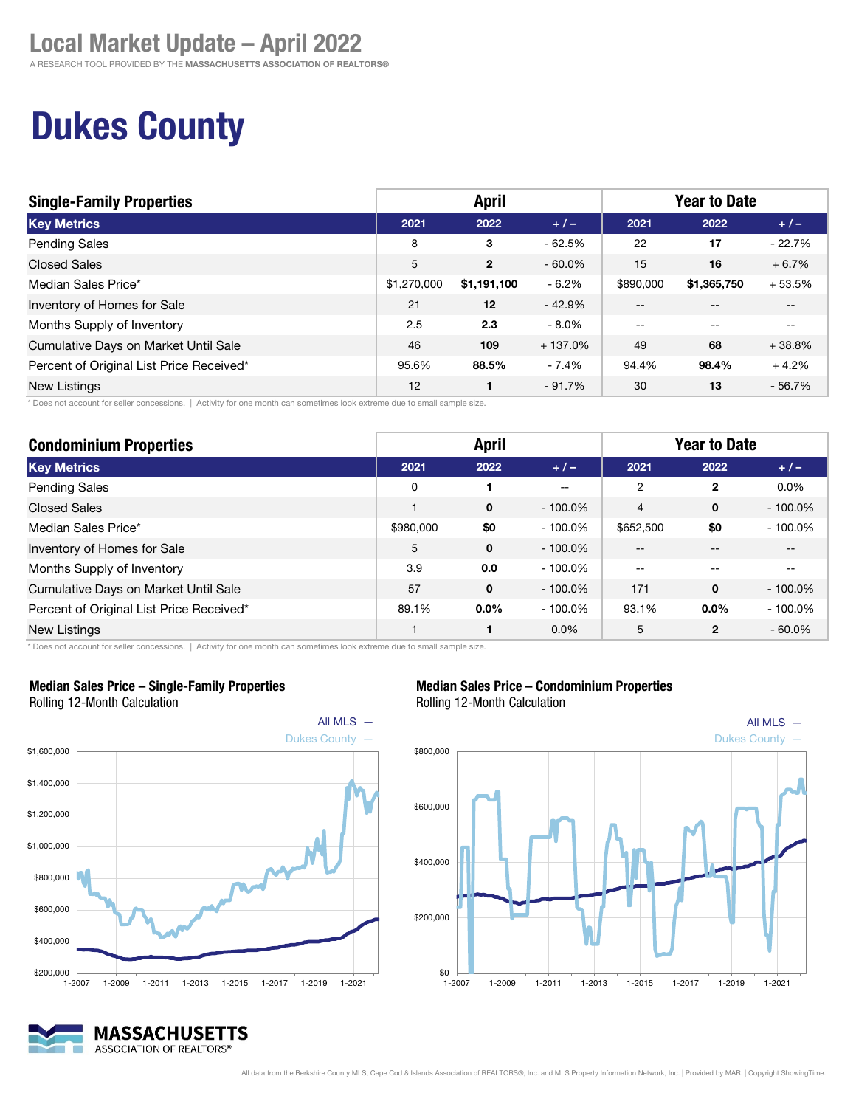A RESEARCH TOOL PROVIDED BY THE MASSACHUSETTS ASSOCIATION OF REALTORS®

# Dukes County

| <b>Single-Family Properties</b>          | <b>April</b> |                |           | <b>Year to Date</b> |             |          |
|------------------------------------------|--------------|----------------|-----------|---------------------|-------------|----------|
| <b>Key Metrics</b>                       | 2021         | 2022           | $+/-$     | 2021                | 2022        | $+/-$    |
| <b>Pending Sales</b>                     | 8            | 3              | $-62.5%$  | 22                  | 17          | $-22.7%$ |
| <b>Closed Sales</b>                      | 5            | $\overline{2}$ | $-60.0\%$ | 15                  | 16          | $+6.7%$  |
| Median Sales Price*                      | \$1,270,000  | \$1,191,100    | $-6.2%$   | \$890,000           | \$1,365,750 | $+53.5%$ |
| Inventory of Homes for Sale              | 21           | 12             | $-42.9%$  | $\qquad \qquad -$   | $- -$       | $- -$    |
| Months Supply of Inventory               | 2.5          | 2.3            | $-8.0\%$  | $- -$               | $- -$       | $- -$    |
| Cumulative Days on Market Until Sale     | 46           | 109            | $+137.0%$ | 49                  | 68          | $+38.8%$ |
| Percent of Original List Price Received* | 95.6%        | 88.5%          | - 7.4%    | 94.4%               | 98.4%       | $+4.2%$  |
| <b>New Listings</b>                      | 12           |                | $-91.7%$  | 30                  | 13          | $-56.7%$ |

\* Does not account for seller concessions. | Activity for one month can sometimes look extreme due to small sample size.

| <b>Condominium Properties</b>            | <b>April</b> |              |            | <b>Year to Date</b> |              |            |
|------------------------------------------|--------------|--------------|------------|---------------------|--------------|------------|
| <b>Key Metrics</b>                       | 2021         | 2022         | $+1-$      | 2021                | 2022         | $+/-$      |
| <b>Pending Sales</b>                     | 0            |              | $- -$      | 2                   | $\mathbf{2}$ | $0.0\%$    |
| <b>Closed Sales</b>                      |              | $\mathbf{0}$ | $-100.0\%$ | $\overline{4}$      | 0            | $-100.0\%$ |
| Median Sales Price*                      | \$980,000    | \$0          | $-100.0\%$ | \$652,500           | \$0          | $-100.0\%$ |
| Inventory of Homes for Sale              | 5            | $\mathbf 0$  | $-100.0\%$ | $- -$               |              | --         |
| Months Supply of Inventory               | 3.9          | 0.0          | $-100.0\%$ | $-$                 |              | --         |
| Cumulative Days on Market Until Sale     | 57           | $\mathbf{0}$ | $-100.0\%$ | 171                 | 0            | $-100.0\%$ |
| Percent of Original List Price Received* | 89.1%        | $0.0\%$      | $-100.0\%$ | 93.1%               | $0.0\%$      | $-100.0\%$ |
| New Listings                             |              |              | $0.0\%$    | 5                   | $\mathbf{2}$ | $-60.0\%$  |

\* Does not account for seller concessions. | Activity for one month can sometimes look extreme due to small sample size.



### Median Sales Price – Single-Family Properties

Rolling 12-Month Calculation

### MASSACHUSETTS ASSOCIATION OF REALTORS®





All MLS  $-$ 

Dukes County

Rolling 12-Month Calculation

 $$0$   $-$ <br>1-2007

\$200,000

\$400,000

1-2007 1-2009 1-2011 1-2013 1-2015 1-2017 1-2019 1-2021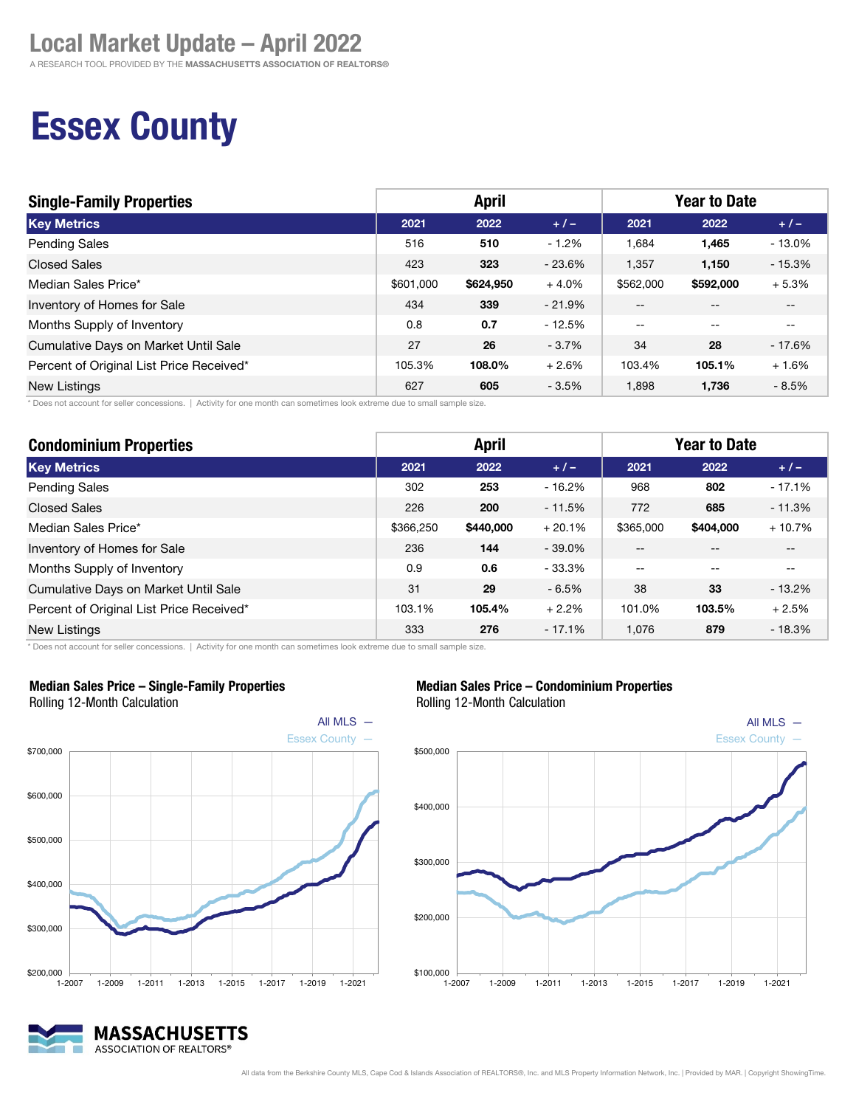A RESEARCH TOOL PROVIDED BY THE MASSACHUSETTS ASSOCIATION OF REALTORS®

# Essex County

| <b>Single-Family Properties</b>          | <b>April</b> |           |          | <b>Year to Date</b> |           |          |
|------------------------------------------|--------------|-----------|----------|---------------------|-----------|----------|
| <b>Key Metrics</b>                       | 2021         | 2022      | $+1-$    | 2021                | 2022      | $+/-$    |
| <b>Pending Sales</b>                     | 516          | 510       | $-1.2%$  | 1.684               | 1,465     | $-13.0%$ |
| <b>Closed Sales</b>                      | 423          | 323       | $-23.6%$ | 1.357               | 1,150     | $-15.3%$ |
| Median Sales Price*                      | \$601,000    | \$624,950 | $+4.0%$  | \$562,000           | \$592,000 | $+5.3%$  |
| Inventory of Homes for Sale              | 434          | 339       | $-21.9%$ | $- -$               |           | --       |
| Months Supply of Inventory               | 0.8          | 0.7       | $-12.5%$ | $- -$               | $-$       | $- -$    |
| Cumulative Days on Market Until Sale     | 27           | 26        | $-3.7%$  | 34                  | 28        | - 17.6%  |
| Percent of Original List Price Received* | 105.3%       | 108.0%    | $+2.6%$  | 103.4%              | 105.1%    | $+1.6%$  |
| New Listings                             | 627          | 605       | $-3.5%$  | 1.898               | 1,736     | $-8.5%$  |

\* Does not account for seller concessions. | Activity for one month can sometimes look extreme due to small sample size.

| <b>Condominium Properties</b>            | <b>April</b> |           |           | <b>Year to Date</b> |           |          |
|------------------------------------------|--------------|-----------|-----------|---------------------|-----------|----------|
| <b>Key Metrics</b>                       | 2021         | 2022      | $+1-$     | 2021                | 2022      | $+/-$    |
| <b>Pending Sales</b>                     | 302          | 253       | $-16.2%$  | 968                 | 802       | $-17.1%$ |
| <b>Closed Sales</b>                      | 226          | 200       | $-11.5%$  | 772                 | 685       | $-11.3%$ |
| Median Sales Price*                      | \$366.250    | \$440,000 | $+20.1%$  | \$365,000           | \$404,000 | $+10.7%$ |
| Inventory of Homes for Sale              | 236          | 144       | $-39.0\%$ | $- -$               |           | --       |
| Months Supply of Inventory               | 0.9          | 0.6       | $-33.3%$  | $- -$               | --        | --       |
| Cumulative Days on Market Until Sale     | 31           | 29        | $-6.5%$   | 38                  | 33        | $-13.2%$ |
| Percent of Original List Price Received* | 103.1%       | 105.4%    | $+2.2%$   | 101.0%              | 103.5%    | $+2.5%$  |
| New Listings                             | 333          | 276       | $-17.1%$  | 1.076               | 879       | $-18.3%$ |

\* Does not account for seller concessions. | Activity for one month can sometimes look extreme due to small sample size.



Median Sales Price – Single-Family Properties





### Median Sales Price – Condominium Properties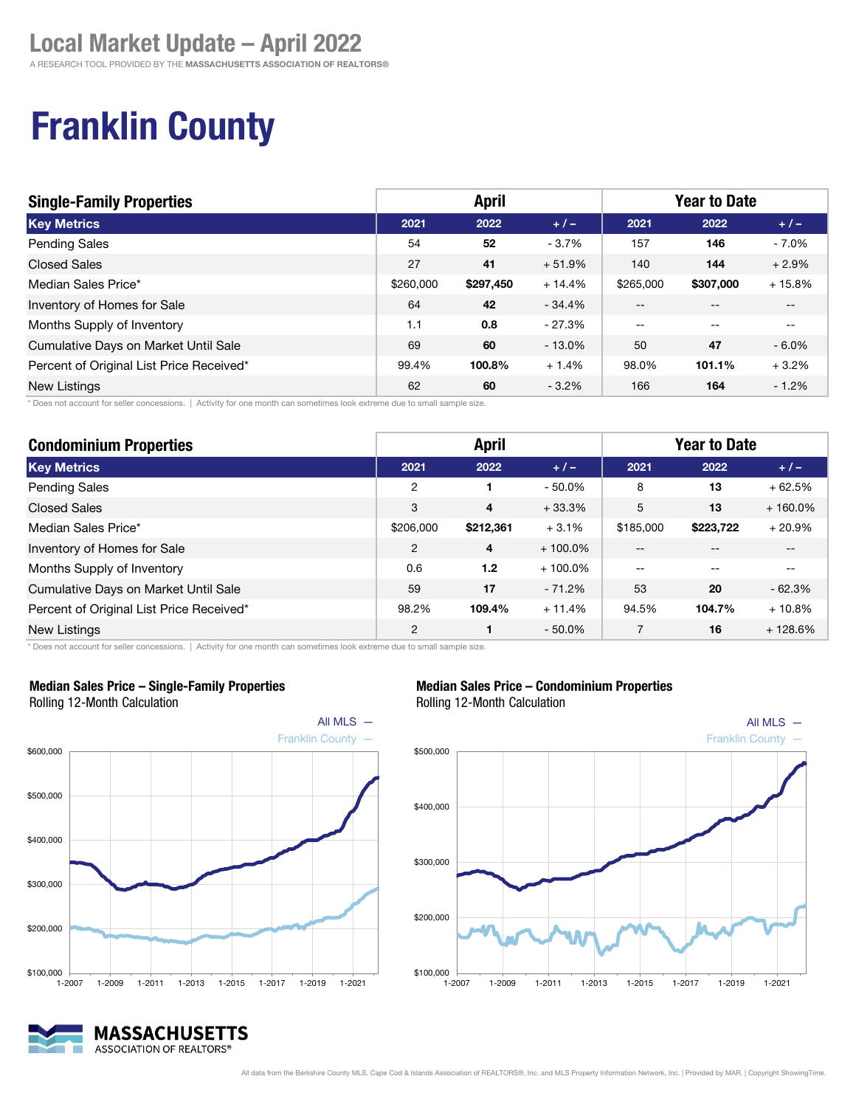A RESEARCH TOOL PROVIDED BY THE MASSACHUSETTS ASSOCIATION OF REALTORS®

# Franklin County

| <b>Single-Family Properties</b>          | <b>April</b> |           |          | <b>Year to Date</b> |           |          |
|------------------------------------------|--------------|-----------|----------|---------------------|-----------|----------|
| <b>Key Metrics</b>                       | 2021         | 2022      | $+1-$    | 2021                | 2022      | $+/-$    |
| <b>Pending Sales</b>                     | 54           | 52        | $-3.7%$  | 157                 | 146       | $-7.0\%$ |
| <b>Closed Sales</b>                      | 27           | 41        | $+51.9%$ | 140                 | 144       | $+2.9%$  |
| Median Sales Price*                      | \$260,000    | \$297.450 | $+14.4%$ | \$265,000           | \$307,000 | $+15.8%$ |
| Inventory of Homes for Sale              | 64           | 42        | $-34.4%$ | $- -$               |           | $- -$    |
| Months Supply of Inventory               | 1.1          | 0.8       | $-27.3%$ | $-$                 | $-$       | $- -$    |
| Cumulative Days on Market Until Sale     | 69           | 60        | $-13.0%$ | 50                  | 47        | $-6.0\%$ |
| Percent of Original List Price Received* | 99.4%        | 100.8%    | $+1.4%$  | 98.0%               | 101.1%    | $+3.2%$  |
| New Listings                             | 62           | 60        | $-3.2%$  | 166                 | 164       | $-1.2%$  |

\* Does not account for seller concessions. | Activity for one month can sometimes look extreme due to small sample size.

| <b>Condominium Properties</b>            | <b>April</b>   |           |            | <b>Year to Date</b> |           |            |
|------------------------------------------|----------------|-----------|------------|---------------------|-----------|------------|
| <b>Key Metrics</b>                       | 2021           | 2022      | $+/-$      | 2021                | 2022      | $+/-$      |
| Pending Sales                            | 2              |           | $-50.0\%$  | 8                   | 13        | $+62.5%$   |
| <b>Closed Sales</b>                      | 3              | 4         | $+33.3%$   | 5                   | 13        | $+160.0\%$ |
| Median Sales Price*                      | \$206,000      | \$212,361 | $+3.1%$    | \$185,000           | \$223,722 | $+20.9%$   |
| Inventory of Homes for Sale              | $\overline{2}$ | 4         | $+100.0\%$ | --                  |           |            |
| Months Supply of Inventory               | 0.6            | 1.2       | $+100.0\%$ | $- -$               |           |            |
| Cumulative Days on Market Until Sale     | 59             | 17        | - 71.2%    | 53                  | 20        | $-62.3%$   |
| Percent of Original List Price Received* | 98.2%          | 109.4%    | $+11.4%$   | 94.5%               | 104.7%    | $+10.8%$   |
| <b>New Listings</b>                      | $\overline{2}$ |           | $-50.0\%$  |                     | 16        | $+128.6%$  |

\* Does not account for seller concessions. | Activity for one month can sometimes look extreme due to small sample size.



#### Median Sales Price – Single-Family Properties Rolling 12-Month Calculation

Rolling 12-Month Calculation

Median Sales Price – Condominium Properties



All MLS  $-$ 

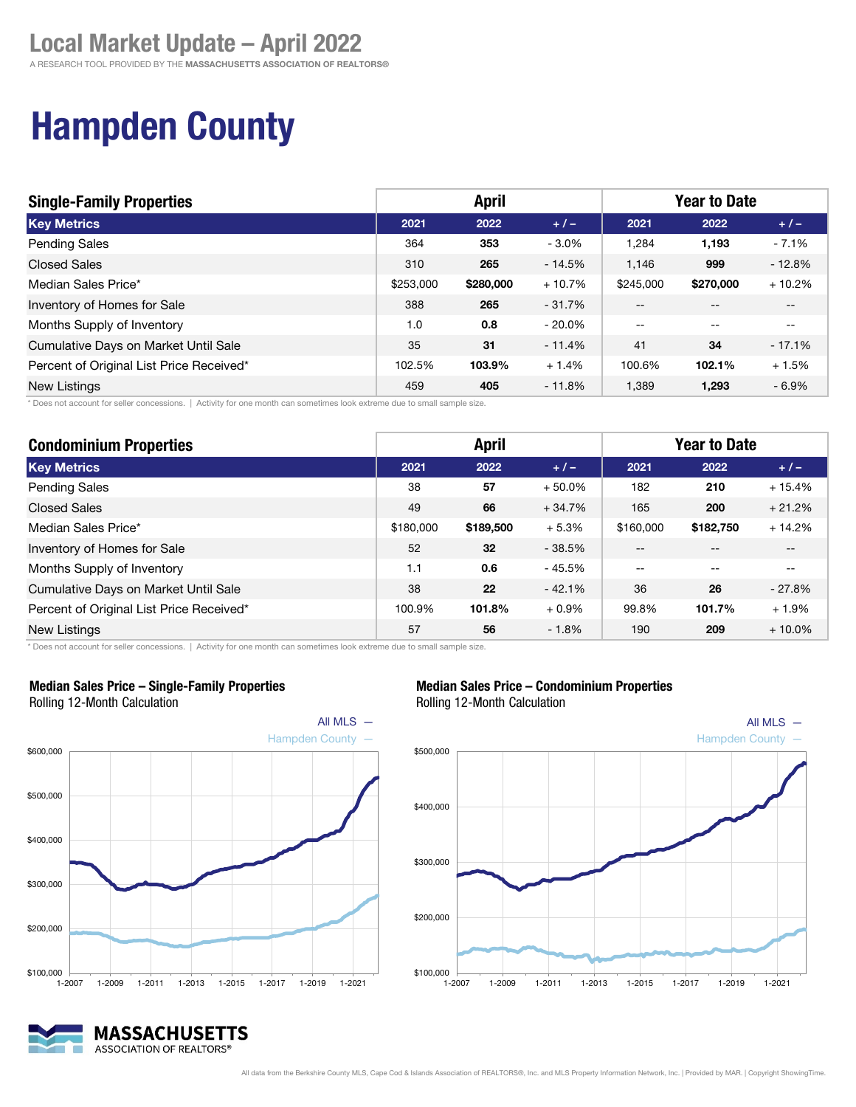A RESEARCH TOOL PROVIDED BY THE MASSACHUSETTS ASSOCIATION OF REALTORS®

# Hampden County

| <b>Single-Family Properties</b>          | <b>April</b> |           |           | <b>Year to Date</b> |           |          |
|------------------------------------------|--------------|-----------|-----------|---------------------|-----------|----------|
| <b>Key Metrics</b>                       | 2021         | 2022      | $+1-$     | 2021                | 2022      | $+/-$    |
| <b>Pending Sales</b>                     | 364          | 353       | $-3.0%$   | 1,284               | 1,193     | $-7.1%$  |
| <b>Closed Sales</b>                      | 310          | 265       | $-14.5%$  | 1.146               | 999       | $-12.8%$ |
| Median Sales Price*                      | \$253,000    | \$280,000 | $+10.7%$  | \$245,000           | \$270,000 | $+10.2%$ |
| Inventory of Homes for Sale              | 388          | 265       | $-31.7%$  | $- -$               |           | --       |
| Months Supply of Inventory               | 1.0          | 0.8       | $-20.0\%$ | $- -$               | $-$       | $- -$    |
| Cumulative Days on Market Until Sale     | 35           | 31        | $-11.4%$  | 41                  | 34        | $-17.1%$ |
| Percent of Original List Price Received* | 102.5%       | 103.9%    | $+1.4%$   | 100.6%              | 102.1%    | $+1.5%$  |
| New Listings                             | 459          | 405       | $-11.8%$  | 1.389               | 1,293     | $-6.9\%$ |

\* Does not account for seller concessions. | Activity for one month can sometimes look extreme due to small sample size.

| <b>Condominium Properties</b>            | <b>April</b> |           |          | <b>Year to Date</b> |           |           |
|------------------------------------------|--------------|-----------|----------|---------------------|-----------|-----------|
| <b>Key Metrics</b>                       | 2021         | 2022      | $+/-$    | 2021                | 2022      | $+/-$     |
| Pending Sales                            | 38           | 57        | $+50.0%$ | 182                 | 210       | $+15.4%$  |
| <b>Closed Sales</b>                      | 49           | 66        | $+34.7%$ | 165                 | 200       | $+21.2%$  |
| Median Sales Price*                      | \$180,000    | \$189,500 | $+5.3%$  | \$160,000           | \$182,750 | $+14.2%$  |
| Inventory of Homes for Sale              | 52           | 32        | $-38.5%$ | --                  |           |           |
| Months Supply of Inventory               | 1.1          | 0.6       | $-45.5%$ | $-$                 |           |           |
| Cumulative Days on Market Until Sale     | 38           | 22        | $-42.1%$ | 36                  | 26        | $-27.8%$  |
| Percent of Original List Price Received* | 100.9%       | 101.8%    | $+0.9%$  | 99.8%               | 101.7%    | $+1.9%$   |
| <b>New Listings</b>                      | 57           | 56        | $-1.8%$  | 190                 | 209       | $+10.0\%$ |

\* Does not account for seller concessions. | Activity for one month can sometimes look extreme due to small sample size.



#### Median Sales Price – Single-Family Properties

Rolling 12-Month Calculation

### MASSACHUSETTS ASSOCIATION OF REALTORS®



Rolling 12-Month Calculation

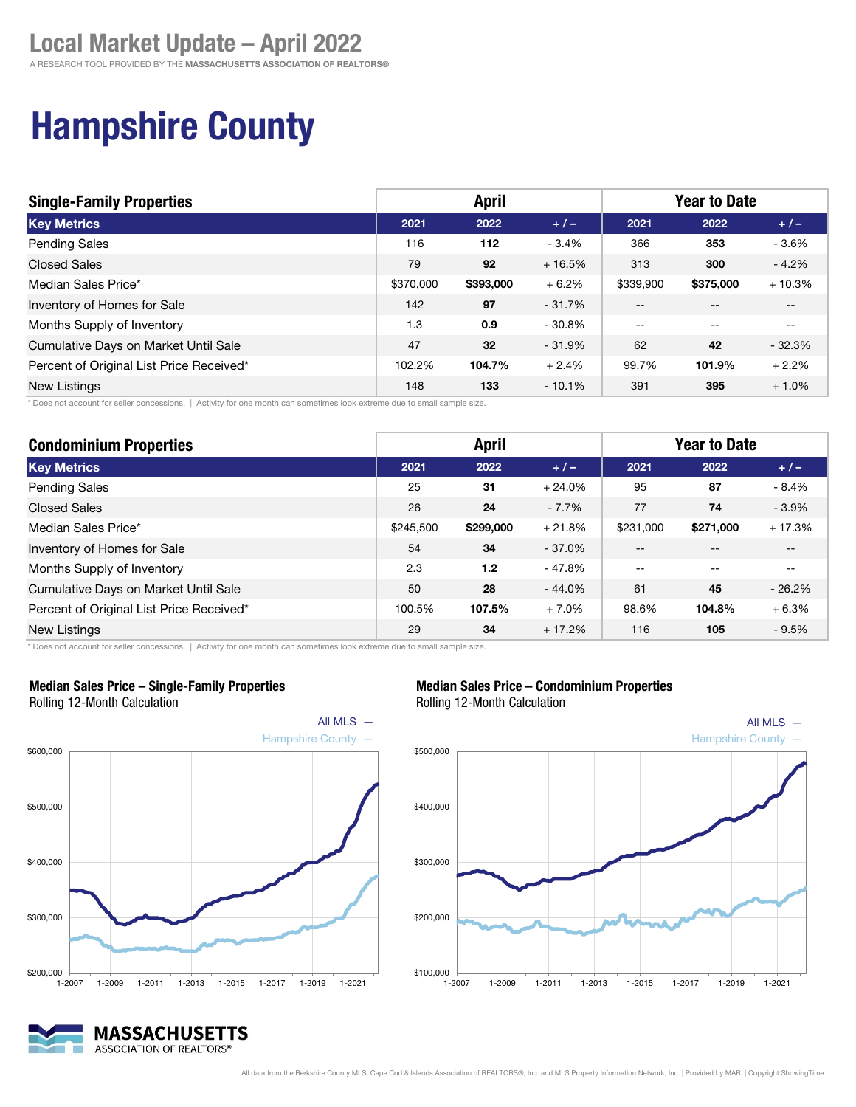# Hampshire County

| <b>Single-Family Properties</b>          | <b>April</b> |           |          | <b>Year to Date</b> |                   |          |
|------------------------------------------|--------------|-----------|----------|---------------------|-------------------|----------|
| <b>Key Metrics</b>                       | 2021         | 2022      | $+/-$    | 2021                | 2022              | $+/-$    |
| <b>Pending Sales</b>                     | 116          | 112       | $-3.4%$  | 366                 | 353               | $-3.6%$  |
| <b>Closed Sales</b>                      | 79           | 92        | $+16.5%$ | 313                 | 300               | $-4.2%$  |
| Median Sales Price*                      | \$370,000    | \$393,000 | $+6.2%$  | \$339,900           | \$375,000         | $+10.3%$ |
| Inventory of Homes for Sale              | 142          | 97        | $-31.7%$ | $-$                 | $- -$             | $- -$    |
| Months Supply of Inventory               | 1.3          | 0.9       | $-30.8%$ | $-$                 | $\qquad \qquad -$ | $- -$    |
| Cumulative Days on Market Until Sale     | 47           | 32        | $-31.9%$ | 62                  | 42                | $-32.3%$ |
| Percent of Original List Price Received* | 102.2%       | 104.7%    | $+2.4%$  | 99.7%               | 101.9%            | $+2.2%$  |
| New Listings                             | 148          | 133       | $-10.1%$ | 391                 | 395               | $+1.0%$  |

\* Does not account for seller concessions. | Activity for one month can sometimes look extreme due to small sample size.

| <b>Condominium Properties</b>            | <b>April</b> |           |          | <b>Year to Date</b> |           |          |
|------------------------------------------|--------------|-----------|----------|---------------------|-----------|----------|
| <b>Key Metrics</b>                       | 2021         | 2022      | $+/-$    | 2021                | 2022      | $+/-$    |
| <b>Pending Sales</b>                     | 25           | 31        | $+24.0%$ | 95                  | 87        | $-8.4%$  |
| <b>Closed Sales</b>                      | 26           | 24        | $-7.7%$  | 77                  | 74        | $-3.9%$  |
| Median Sales Price*                      | \$245,500    | \$299,000 | $+21.8%$ | \$231,000           | \$271,000 | $+17.3%$ |
| Inventory of Homes for Sale              | 54           | 34        | $-37.0%$ | --                  |           |          |
| Months Supply of Inventory               | 2.3          | 1.2       | $-47.8%$ | $-$                 |           |          |
| Cumulative Days on Market Until Sale     | 50           | 28        | $-44.0%$ | 61                  | 45        | $-26.2%$ |
| Percent of Original List Price Received* | 100.5%       | 107.5%    | $+7.0%$  | 98.6%               | 104.8%    | $+6.3%$  |
| New Listings                             | 29           | 34        | $+17.2%$ | 116                 | 105       | $-9.5%$  |

\* Does not account for seller concessions. | Activity for one month can sometimes look extreme due to small sample size.



#### Median Sales Price – Single-Family Properties Rolling 12-Month Calculation

All  $MLS$   $-$ 



#### Median Sales Price – Condominium Properties Rolling 12-Month Calculation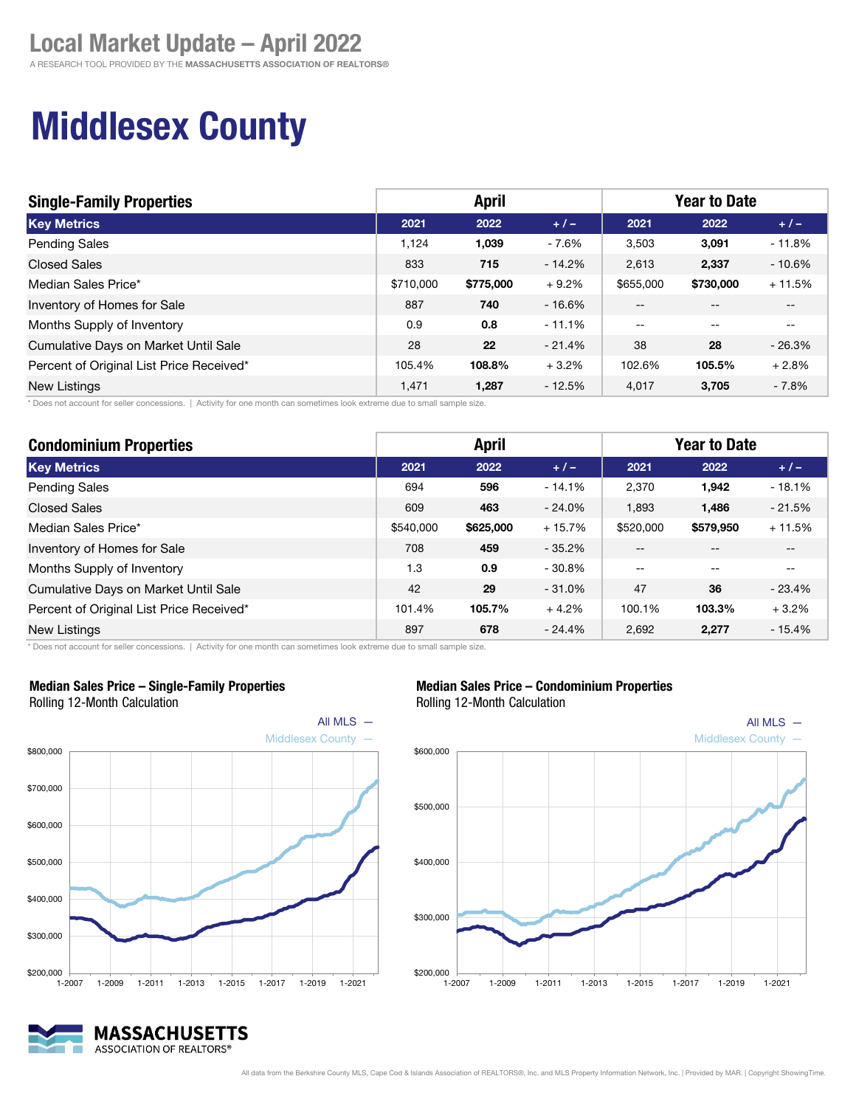# Middlesex County

| <b>Single-Family Properties</b>          | <b>April</b> |           |          | <b>Year to Date</b> |           |          |
|------------------------------------------|--------------|-----------|----------|---------------------|-----------|----------|
| <b>Key Metrics</b>                       | 2021         | 2022      | $+/-$    | 2021                | 2022      | $+/-$    |
| <b>Pending Sales</b>                     | 1.124        | 1,039     | $-7.6%$  | 3,503               | 3,091     | $-11.8%$ |
| <b>Closed Sales</b>                      | 833          | 715       | $-14.2%$ | 2.613               | 2,337     | $-10.6%$ |
| Median Sales Price*                      | \$710,000    | \$775,000 | $+9.2%$  | \$655,000           | \$730,000 | $+11.5%$ |
| Inventory of Homes for Sale              | 887          | 740       | $-16.6%$ | $- -$               |           | --       |
| Months Supply of Inventory               | 0.9          | 0.8       | - 11.1%  | $- -$               | $- -$     | $- -$    |
| Cumulative Days on Market Until Sale     | 28           | 22        | $-21.4%$ | 38                  | 28        | $-26.3%$ |
| Percent of Original List Price Received* | 105.4%       | 108.8%    | $+3.2%$  | 102.6%              | 105.5%    | $+2.8%$  |
| New Listings                             | 1.471        | 1.287     | $-12.5%$ | 4.017               | 3,705     | $-7.8%$  |

\* Does not account for seller concessions. | Activity for one month can sometimes look extreme due to small sample size.

| <b>Condominium Properties</b>            | <b>April</b> |           |           | <b>Year to Date</b> |           |          |
|------------------------------------------|--------------|-----------|-----------|---------------------|-----------|----------|
| <b>Key Metrics</b>                       | 2021         | 2022      | $+1-$     | 2021                | 2022      | $+/-$    |
| <b>Pending Sales</b>                     | 694          | 596       | $-14.1%$  | 2,370               | 1,942     | $-18.1%$ |
| <b>Closed Sales</b>                      | 609          | 463       | $-24.0%$  | 1,893               | 1,486     | $-21.5%$ |
| Median Sales Price*                      | \$540,000    | \$625,000 | $+15.7%$  | \$520,000           | \$579,950 | $+11.5%$ |
| Inventory of Homes for Sale              | 708          | 459       | $-35.2%$  | --                  |           | --       |
| Months Supply of Inventory               | 1.3          | 0.9       | - 30.8%   | $- -$               |           | --       |
| Cumulative Days on Market Until Sale     | 42           | 29        | $-31.0\%$ | 47                  | 36        | $-23.4%$ |
| Percent of Original List Price Received* | 101.4%       | 105.7%    | $+4.2%$   | 100.1%              | 103.3%    | $+3.2%$  |
| New Listings                             | 897          | 678       | $-24.4%$  | 2,692               | 2,277     | $-15.4%$ |

\* Does not account for seller concessions. | Activity for one month can sometimes look extreme due to small sample size.



### Median Sales Price – Single-Family Properties

Median Sales Price – Condominium Properties Rolling 12-Month Calculation

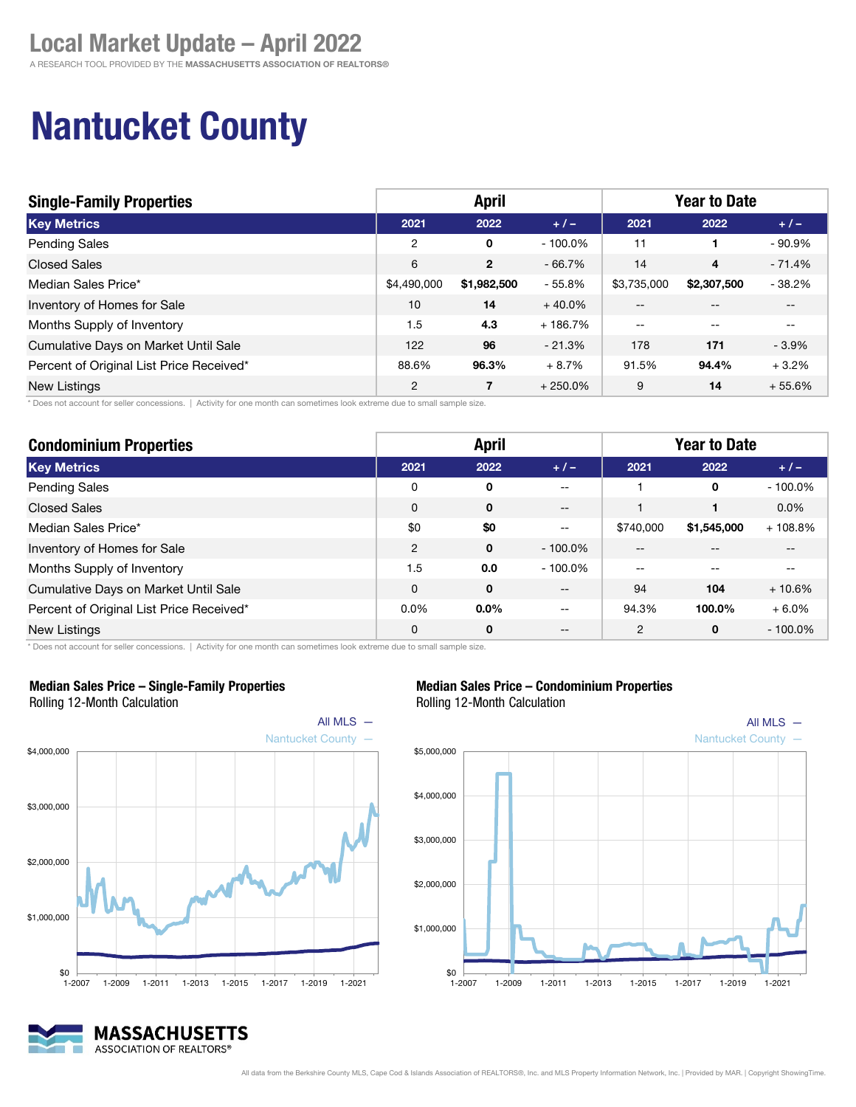# Nantucket County

| <b>Single-Family Properties</b>          | <b>April</b>   |                |            | <b>Year to Date</b> |             |          |
|------------------------------------------|----------------|----------------|------------|---------------------|-------------|----------|
| <b>Key Metrics</b>                       | 2021           | 2022           | $+/-$      | 2021                | 2022        | $+1-$    |
| <b>Pending Sales</b>                     | 2              | 0              | $-100.0\%$ | 11                  |             | $-90.9%$ |
| <b>Closed Sales</b>                      | 6              | $\overline{2}$ | $-66.7%$   | 14                  | 4           | $-71.4%$ |
| Median Sales Price*                      | \$4,490,000    | \$1,982,500    | $-55.8%$   | \$3,735,000         | \$2,307,500 | $-38.2%$ |
| Inventory of Homes for Sale              | 10             | 14             | $+40.0\%$  | $-$                 | $- -$       | $- -$    |
| Months Supply of Inventory               | 1.5            | 4.3            | $+186.7%$  | $-$                 | $-$         | $- -$    |
| Cumulative Days on Market Until Sale     | 122            | 96             | $-21.3%$   | 178                 | 171         | $-3.9\%$ |
| Percent of Original List Price Received* | 88.6%          | 96.3%          | $+8.7%$    | 91.5%               | 94.4%       | $+3.2%$  |
| New Listings                             | $\overline{2}$ | 7              | $+250.0\%$ | 9                   | 14          | $+55.6%$ |

\* Does not account for seller concessions. | Activity for one month can sometimes look extreme due to small sample size.

| <b>Condominium Properties</b>            | <b>April</b>   |         |                          | <b>Year to Date</b> |             |            |  |
|------------------------------------------|----------------|---------|--------------------------|---------------------|-------------|------------|--|
| <b>Key Metrics</b>                       | 2021           | 2022    | $+1-$                    | 2021                | 2022        | $+/-$      |  |
| <b>Pending Sales</b>                     | 0              | 0       | --                       |                     | 0           | $-100.0\%$ |  |
| <b>Closed Sales</b>                      | $\Omega$       | 0       | $- -$                    |                     |             | $0.0\%$    |  |
| Median Sales Price*                      | \$0            | \$0     | $\overline{\phantom{m}}$ | \$740,000           | \$1,545,000 | $+108.8%$  |  |
| Inventory of Homes for Sale              | $\overline{2}$ | 0       | $-100.0\%$               | --                  |             |            |  |
| Months Supply of Inventory               | 1.5            | 0.0     | $-100.0\%$               | $-$                 |             |            |  |
| Cumulative Days on Market Until Sale     | $\Omega$       | 0       | $\qquad \qquad -$        | 94                  | 104         | $+10.6%$   |  |
| Percent of Original List Price Received* | 0.0%           | $0.0\%$ | --                       | 94.3%               | 100.0%      | $+6.0%$    |  |
| New Listings                             | 0              | 0       | $\qquad \qquad -$        | $\overline{c}$      | 0           | $-100.0\%$ |  |

\* Does not account for seller concessions. | Activity for one month can sometimes look extreme due to small sample size.



### Median Sales Price – Single-Family Properties

Rolling 12-Month Calculation



### Median Sales Price – Condominium Properties

Rolling 12-Month Calculation



All MLS  $-$ 

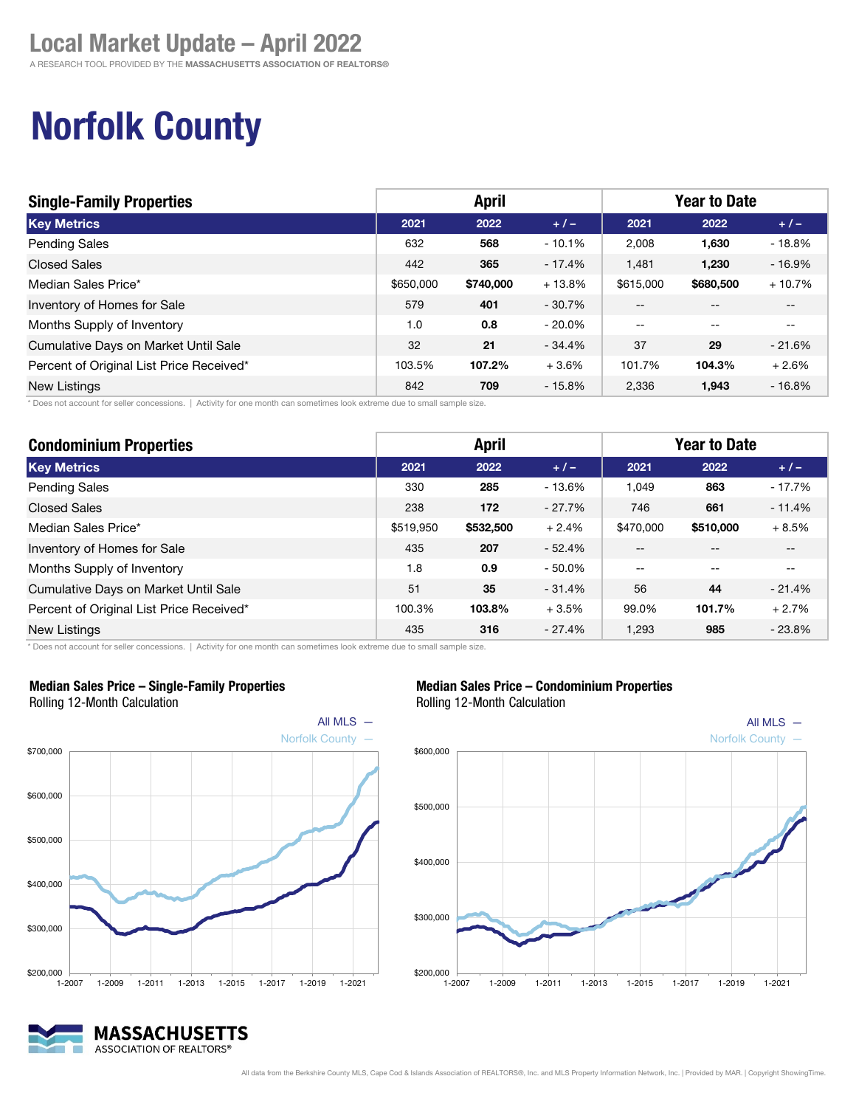A RESEARCH TOOL PROVIDED BY THE MASSACHUSETTS ASSOCIATION OF REALTORS®

# Norfolk County

| <b>Single-Family Properties</b>          | <b>April</b> |           |          | <b>Year to Date</b> |                   |          |
|------------------------------------------|--------------|-----------|----------|---------------------|-------------------|----------|
| <b>Key Metrics</b>                       | 2021         | 2022      | $+ 1 -$  | 2021                | 2022              | $+1-$    |
| <b>Pending Sales</b>                     | 632          | 568       | $-10.1%$ | 2,008               | 1,630             | $-18.8%$ |
| <b>Closed Sales</b>                      | 442          | 365       | - 17.4%  | 1,481               | 1,230             | $-16.9%$ |
| Median Sales Price*                      | \$650,000    | \$740,000 | $+13.8%$ | \$615,000           | \$680,500         | $+10.7%$ |
| Inventory of Homes for Sale              | 579          | 401       | $-30.7%$ | $- -$               | $- -$             | $- -$    |
| Months Supply of Inventory               | 1.0          | 0.8       | $-20.0%$ | $-$                 | $\qquad \qquad -$ | $- -$    |
| Cumulative Days on Market Until Sale     | 32           | 21        | $-34.4%$ | 37                  | 29                | $-21.6%$ |
| Percent of Original List Price Received* | 103.5%       | 107.2%    | $+3.6%$  | 101.7%              | 104.3%            | $+2.6%$  |
| <b>New Listings</b>                      | 842          | 709       | $-15.8%$ | 2,336               | 1,943             | $-16.8%$ |

\* Does not account for seller concessions. | Activity for one month can sometimes look extreme due to small sample size.

| <b>Condominium Properties</b>            | <b>April</b> |           |          | <b>Year to Date</b> |           |          |
|------------------------------------------|--------------|-----------|----------|---------------------|-----------|----------|
| <b>Key Metrics</b>                       | 2021         | 2022      | $+/-$    | 2021                | 2022      | $+/-$    |
| <b>Pending Sales</b>                     | 330          | 285       | $-13.6%$ | 1,049               | 863       | $-17.7%$ |
| <b>Closed Sales</b>                      | 238          | 172       | $-27.7%$ | 746                 | 661       | $-11.4%$ |
| Median Sales Price*                      | \$519,950    | \$532,500 | $+2.4%$  | \$470,000           | \$510,000 | $+8.5%$  |
| Inventory of Homes for Sale              | 435          | 207       | $-52.4%$ | $- -$               | --        | --       |
| Months Supply of Inventory               | 1.8          | 0.9       | $-50.0%$ | $-$                 | --        | --       |
| Cumulative Days on Market Until Sale     | 51           | 35        | $-31.4%$ | 56                  | 44        | $-21.4%$ |
| Percent of Original List Price Received* | 100.3%       | 103.8%    | $+3.5%$  | 99.0%               | 101.7%    | $+2.7%$  |
| New Listings                             | 435          | 316       | $-27.4%$ | 1.293               | 985       | $-23.8%$ |

\* Does not account for seller concessions. | Activity for one month can sometimes look extreme due to small sample size.



MASSACHUSETTS ASSOCIATION OF REALTORS®

### Median Sales Price – Single-Family Properties

Rolling 12-Month Calculation

## Rolling 12-Month Calculation

Median Sales Price – Condominium Properties

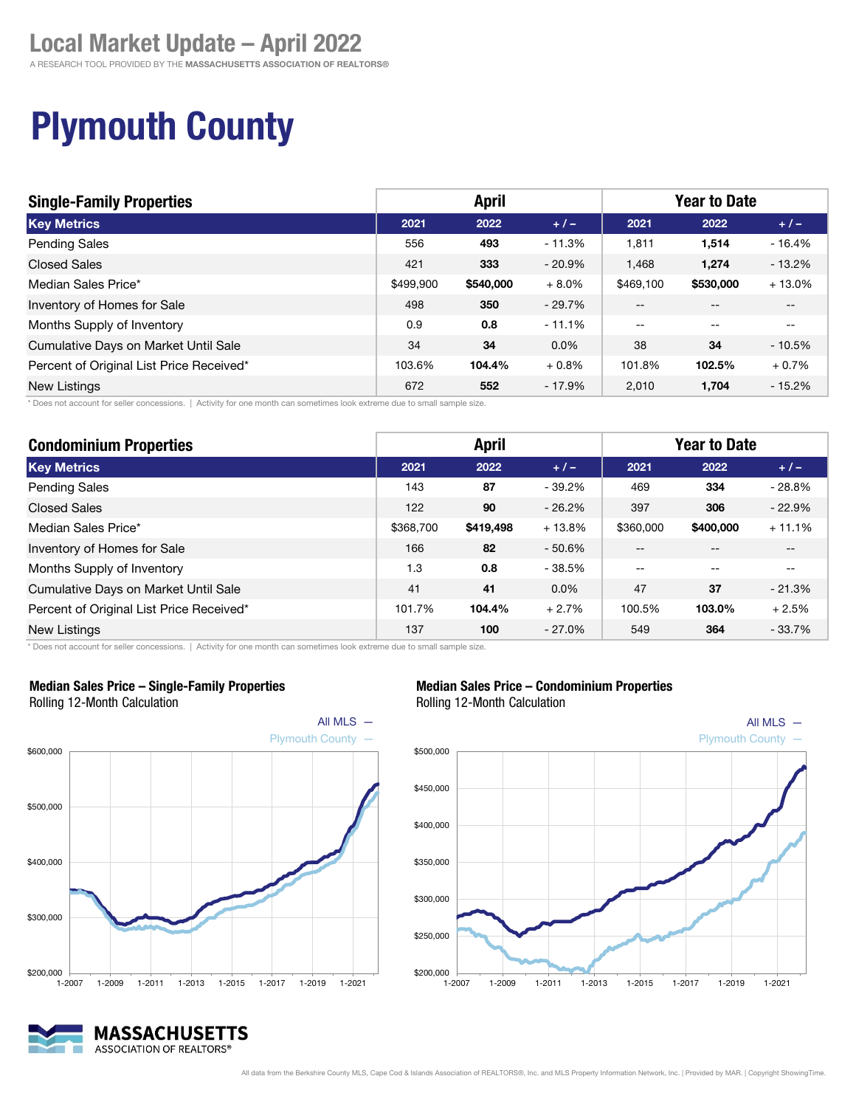A RESEARCH TOOL PROVIDED BY THE MASSACHUSETTS ASSOCIATION OF REALTORS®

# Plymouth County

| <b>Single-Family Properties</b>          | <b>April</b> |           |           | <b>Year to Date</b> |                   |                          |
|------------------------------------------|--------------|-----------|-----------|---------------------|-------------------|--------------------------|
| <b>Key Metrics</b>                       | 2021         | 2022      | $+/-$     | 2021                | 2022              | $+ 1 -$                  |
| <b>Pending Sales</b>                     | 556          | 493       | $-11.3%$  | 1,811               | 1,514             | $-16.4%$                 |
| <b>Closed Sales</b>                      | 421          | 333       | $-20.9\%$ | 1,468               | 1,274             | $-13.2%$                 |
| Median Sales Price*                      | \$499.900    | \$540,000 | $+8.0%$   | \$469.100           | \$530,000         | $+13.0%$                 |
| Inventory of Homes for Sale              | 498          | 350       | $-29.7%$  | $- -$               | $- -$             | $- -$                    |
| Months Supply of Inventory               | 0.9          | 0.8       | $-11.1%$  | $\sim$ $\sim$       | $\qquad \qquad -$ | $\overline{\phantom{m}}$ |
| Cumulative Days on Market Until Sale     | 34           | 34        | $0.0\%$   | 38                  | 34                | $-10.5%$                 |
| Percent of Original List Price Received* | 103.6%       | 104.4%    | $+0.8\%$  | 101.8%              | 102.5%            | $+0.7%$                  |
| New Listings                             | 672          | 552       | $-17.9%$  | 2.010               | 1,704             | $-15.2%$                 |

\* Does not account for seller concessions. | Activity for one month can sometimes look extreme due to small sample size.

| <b>Condominium Properties</b>            | <b>April</b> |           |           | <b>Year to Date</b> |           |          |
|------------------------------------------|--------------|-----------|-----------|---------------------|-----------|----------|
| <b>Key Metrics</b>                       | 2021         | 2022      | $+/-$     | 2021                | 2022      | $+/-$    |
| Pending Sales                            | 143          | 87        | $-39.2%$  | 469                 | 334       | $-28.8%$ |
| <b>Closed Sales</b>                      | 122          | 90        | $-26.2%$  | 397                 | 306       | $-22.9%$ |
| Median Sales Price*                      | \$368,700    | \$419,498 | $+13.8%$  | \$360,000           | \$400,000 | $+11.1%$ |
| Inventory of Homes for Sale              | 166          | 82        | $-50.6%$  | $- -$               |           |          |
| Months Supply of Inventory               | 1.3          | 0.8       | $-38.5%$  | $- -$               | --        | $-$      |
| Cumulative Days on Market Until Sale     | 41           | 41        | $0.0\%$   | 47                  | 37        | $-21.3%$ |
| Percent of Original List Price Received* | 101.7%       | 104.4%    | $+2.7%$   | 100.5%              | 103.0%    | $+2.5%$  |
| <b>New Listings</b>                      | 137          | 100       | $-27.0\%$ | 549                 | 364       | $-33.7%$ |

\* Does not account for seller concessions. | Activity for one month can sometimes look extreme due to small sample size.



#### Median Sales Price – Single-Family Properties

Rolling 12-Month Calculation

### MASSACHUSETTS ASSOCIATION OF REALTORS®







#### All data from the Berkshire County MLS, Cape Cod & Islands Association of REALTORS®, Inc. and MLS Property Information Network, Inc. | Provided by MAR. | Copyright ShowingTime.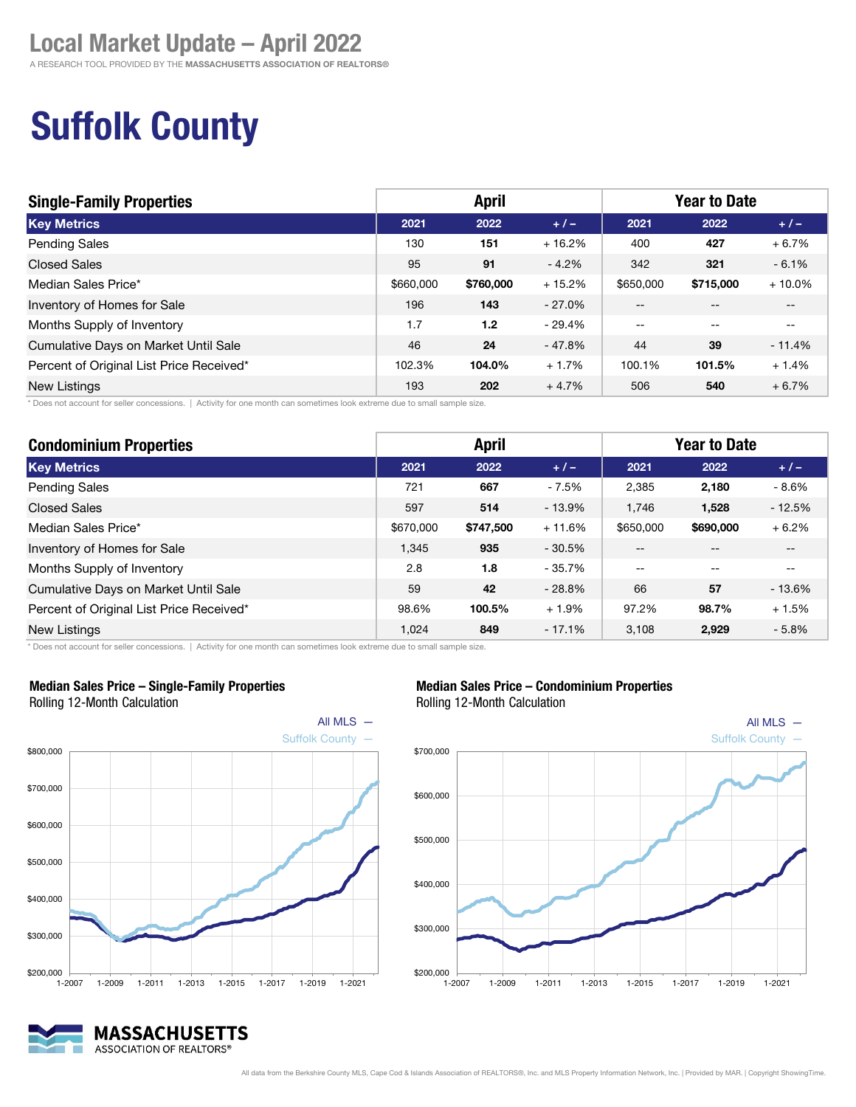A RESEARCH TOOL PROVIDED BY THE MASSACHUSETTS ASSOCIATION OF REALTORS®

# Suffolk County

| <b>Single-Family Properties</b>          | <b>April</b> |                  |          | <b>Year to Date</b>      |                          |                          |  |
|------------------------------------------|--------------|------------------|----------|--------------------------|--------------------------|--------------------------|--|
| <b>Key Metrics</b>                       | 2021         | 2022             | $+1-$    | 2021                     | 2022                     | $+1-$                    |  |
| <b>Pending Sales</b>                     | 130          | 151              | $+16.2%$ | 400                      | 427                      | $+6.7%$                  |  |
| <b>Closed Sales</b>                      | 95           | 91               | $-4.2%$  | 342                      | 321                      | $-6.1%$                  |  |
| Median Sales Price*                      | \$660,000    | \$760,000        | $+15.2%$ | \$650,000                | \$715,000                | $+10.0\%$                |  |
| Inventory of Homes for Sale              | 196          | 143              | $-27.0%$ | $-$                      |                          | $ -$                     |  |
| Months Supply of Inventory               | 1.7          | 1.2 <sub>2</sub> | $-29.4%$ | $\overline{\phantom{m}}$ | $\overline{\phantom{m}}$ | $\overline{\phantom{m}}$ |  |
| Cumulative Days on Market Until Sale     | 46           | 24               | - 47.8%  | 44                       | 39                       | $-11.4%$                 |  |
| Percent of Original List Price Received* | 102.3%       | 104.0%           | $+1.7%$  | 100.1%                   | 101.5%                   | $+1.4%$                  |  |
| New Listings                             | 193          | 202              | $+4.7%$  | 506                      | 540                      | $+6.7%$                  |  |

\* Does not account for seller concessions. | Activity for one month can sometimes look extreme due to small sample size.

| <b>Condominium Properties</b>            | <b>April</b> |           |          | <b>Year to Date</b> |           |          |
|------------------------------------------|--------------|-----------|----------|---------------------|-----------|----------|
| <b>Key Metrics</b>                       | 2021         | 2022      | $+/-$    | 2021                | 2022      | $+/-$    |
| Pending Sales                            | 721          | 667       | - 7.5%   | 2,385               | 2,180     | $-8.6%$  |
| <b>Closed Sales</b>                      | 597          | 514       | $-13.9%$ | 1.746               | 1,528     | $-12.5%$ |
| Median Sales Price*                      | \$670,000    | \$747,500 | $+11.6%$ | \$650,000           | \$690,000 | $+6.2%$  |
| Inventory of Homes for Sale              | 1.345        | 935       | $-30.5%$ | $- -$               |           | $- -$    |
| Months Supply of Inventory               | 2.8          | 1.8       | $-35.7%$ | $- -$               | --        | $-$      |
| Cumulative Days on Market Until Sale     | 59           | 42        | $-28.8%$ | 66                  | 57        | $-13.6%$ |
| Percent of Original List Price Received* | 98.6%        | 100.5%    | $+1.9%$  | 97.2%               | 98.7%     | $+1.5%$  |
| <b>New Listings</b>                      | 1,024        | 849       | $-17.1%$ | 3.108               | 2,929     | $-5.8%$  |

\* Does not account for seller concessions. | Activity for one month can sometimes look extreme due to small sample size.



#### Median Sales Price – Single-Family Properties

ASSOCIATION OF REALTORS®

Rolling 12-Month Calculation

# MASSACHUSETTS

### Median Sales Price – Condominium Properties

Rolling 12-Month Calculation



#### All data from the Berkshire County MLS, Cape Cod & Islands Association of REALTORS®, Inc. and MLS Property Information Network, Inc. | Provided by MAR. | Copyright ShowingTime.